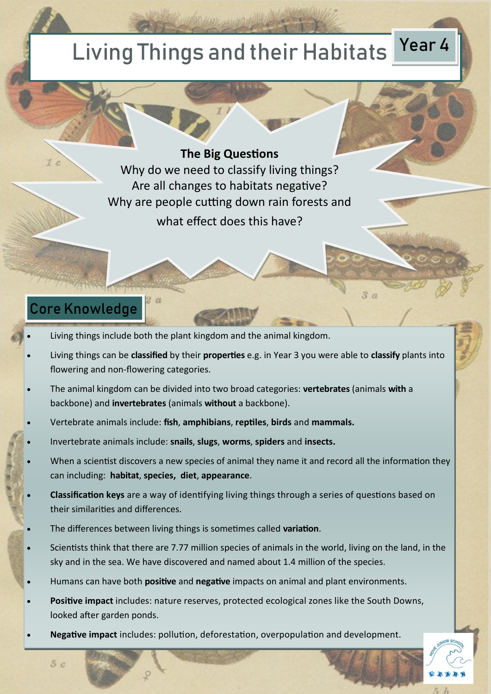# Living Things and their Habitats Year 4

#### **The Big Questions**

Why do we need to classify living things? Are all changes to habitats negative? Why are people cutting down rain forests and what effect does this have?

### Core Knowledge

Living things include both the plant kingdom and the animal kingdom.

2 a

 Living things can be **classified** by their **properties** e.g. in Year 3 you were able to **classify** plants into flowering and non-flowering categories.

 $3\ a$ 

- The animal kingdom can be divided into two broad categories: **vertebrates** (animals **with** a backbone) and **invertebrates** (animals **without** a backbone).
- Vertebrate animals include: **fish**, **amphibians**, **reptiles**, **birds** and **mammals.**
- Invertebrate animals include: **snails**, **slugs**, **worms**, **spiders** and **insects.**
- When a scientist discovers a new species of animal they name it and record all the information they can including: **habitat**, **species, diet**, **appearance**.
- **Classification keys** are a way of identifying living things through a series of questions based on their similarities and differences.
- The differences between living things is sometimes called **variation**.
- Scientists think that there are 7.77 million species of animals in the world, living on the land, in the sky and in the sea. We have discovered and named about 1.4 million of the species.
- Humans can have both **positive** and **negative** impacts on animal and plant environments.
- **Positive impact** includes: nature reserves, protected ecological zones like the South Downs, looked after garden ponds.
- **Negative impact** includes: pollution, deforestation, overpopulation and development.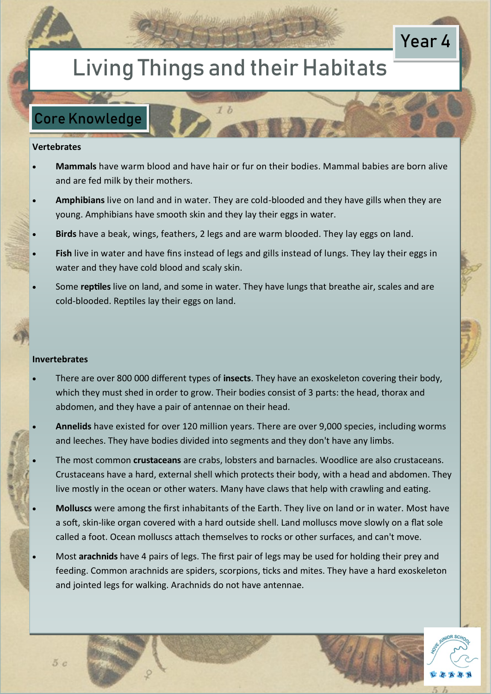## Living Things and their Habitats

### Core Knowledge

#### **Vertebrates**

- **Mammals** have warm blood and have hair or fur on their bodies. Mammal babies are born alive and are fed milk by their mothers.
- **Amphibians** live on land and in water. They are cold-blooded and they have gills when they are young. Amphibians have smooth skin and they lay their eggs in water.
- **Birds** have a beak, wings, feathers, 2 legs and are warm blooded. They lay eggs on land.
- **Fish** live in water and have fins instead of legs and gills instead of lungs. They lay their eggs in water and they have cold blood and scaly skin.
- Some **reptiles** live on land, and some in water. They have lungs that breathe air, scales and are cold-blooded. Reptiles lay their eggs on land.

#### **Invertebrates**

- There are over 800 000 different types of **insects**. They have an exoskeleton covering their body, which they must shed in order to grow. Their bodies consist of 3 parts: the head, thorax and abdomen, and they have a pair of antennae on their head.
- **Annelids** have existed for over 120 million years. There are over 9,000 species, including worms and leeches. They have bodies divided into segments and they don't have any limbs.
- The most common **crustaceans** are crabs, lobsters and barnacles. Woodlice are also crustaceans. Crustaceans have a hard, external shell which protects their body, with a head and abdomen. They live mostly in the ocean or other waters. Many have claws that help with crawling and eating.
- **Molluscs** were among the first inhabitants of the Earth. They live on land or in water. Most have a soft, skin-like organ covered with a hard outside shell. Land molluscs move slowly on a flat sole called a foot. Ocean molluscs attach themselves to rocks or other surfaces, and can't move.
- Most **arachnids** have 4 pairs of legs. The first pair of legs may be used for holding their prey and feeding. Common arachnids are spiders, scorpions, ticks and mites. They have a hard exoskeleton and jointed legs for walking. Arachnids do not have antennae.



Year 4